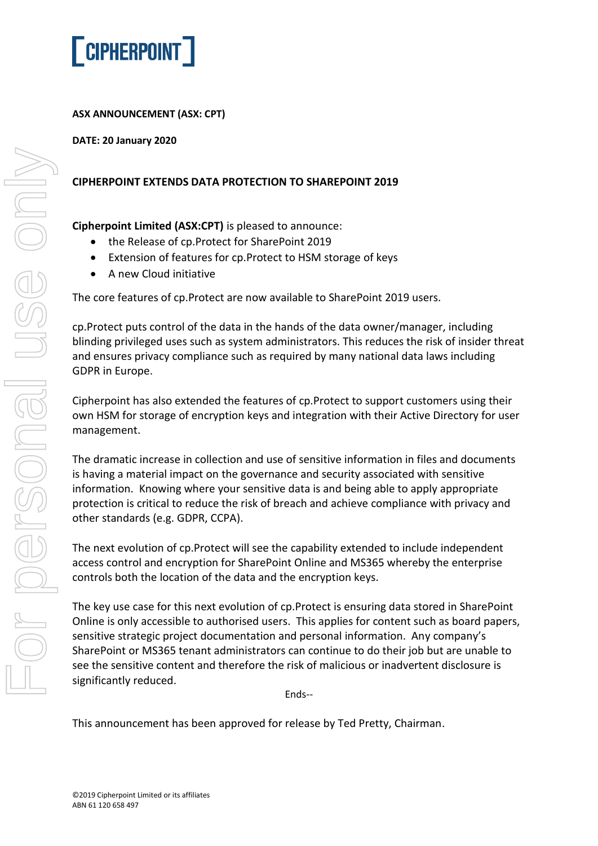

## **ASX ANNOUNCEMENT (ASX: CPT)**

**DATE: 20 January 2020**

# **CIPHERPOINT EXTENDS DATA PROTECTION TO SHAREPOINT 2019**

## **Cipherpoint Limited (ASX:CPT)** is pleased to announce:

- the Release of cp.Protect for SharePoint 2019
- Extension of features for cp.Protect to HSM storage of keys
- A new Cloud initiative

The core features of cp.Protect are now available to SharePoint 2019 users.

cp.Protect puts control of the data in the hands of the data owner/manager, including blinding privileged uses such as system administrators. This reduces the risk of insider threat and ensures privacy compliance such as required by many national data laws including GDPR in Europe.

Cipherpoint has also extended the features of cp.Protect to support customers using their own HSM for storage of encryption keys and integration with their Active Directory for user management.

The dramatic increase in collection and use of sensitive information in files and documents is having a material impact on the governance and security associated with sensitive information. Knowing where your sensitive data is and being able to apply appropriate protection is critical to reduce the risk of breach and achieve compliance with privacy and other standards (e.g. GDPR, CCPA).

The next evolution of cp.Protect will see the capability extended to include independent access control and encryption for SharePoint Online and MS365 whereby the enterprise controls both the location of the data and the encryption keys.

The key use case for this next evolution of cp.Protect is ensuring data stored in SharePoint Online is only accessible to authorised users. This applies for content such as board papers, sensitive strategic project documentation and personal information. Any company's SharePoint or MS365 tenant administrators can continue to do their job but are unable to see the sensitive content and therefore the risk of malicious or inadvertent disclosure is significantly reduced.

Ends--

This announcement has been approved for release by Ted Pretty, Chairman.